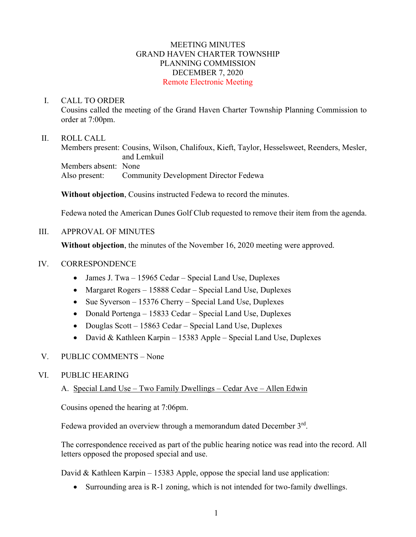#### MEETING MINUTES GRAND HAVEN CHARTER TOWNSHIP PLANNING COMMISSION DECEMBER 7, 2020 Remote Electronic Meeting

#### I. CALL TO ORDER

Cousins called the meeting of the Grand Haven Charter Township Planning Commission to order at 7:00pm.

### II. ROLL CALL

Members present: Cousins, Wilson, Chalifoux, Kieft, Taylor, Hesselsweet, Reenders, Mesler, and Lemkuil Members absent: None Also present: Community Development Director Fedewa

**Without objection**, Cousins instructed Fedewa to record the minutes.

Fedewa noted the American Dunes Golf Club requested to remove their item from the agenda.

## III. APPROVAL OF MINUTES

**Without objection**, the minutes of the November 16, 2020 meeting were approved.

### IV. CORRESPONDENCE

- James J. Twa 15965 Cedar Special Land Use, Duplexes
- Margaret Rogers 15888 Cedar Special Land Use, Duplexes
- Sue Syverson 15376 Cherry Special Land Use, Duplexes
- Donald Portenga 15833 Cedar Special Land Use, Duplexes
- Douglas Scott 15863 Cedar Special Land Use, Duplexes
- David & Kathleen Karpin 15383 Apple Special Land Use, Duplexes

## V. PUBLIC COMMENTS – None

#### VI. PUBLIC HEARING

## A. Special Land Use – Two Family Dwellings – Cedar Ave – Allen Edwin

Cousins opened the hearing at 7:06pm.

Fedewa provided an overview through a memorandum dated December 3rd.

The correspondence received as part of the public hearing notice was read into the record. All letters opposed the proposed special and use.

David & Kathleen Karpin – 15383 Apple, oppose the special land use application:

• Surrounding area is R-1 zoning, which is not intended for two-family dwellings.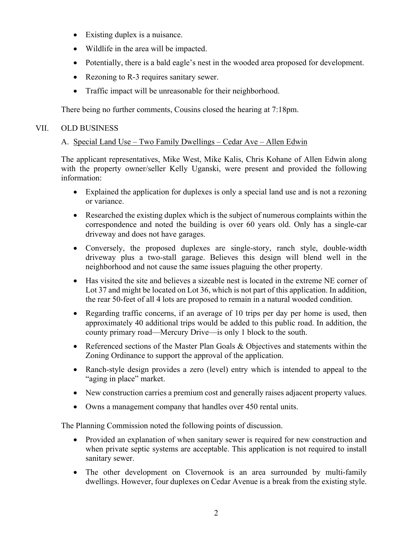- Existing duplex is a nuisance.
- Wildlife in the area will be impacted.
- Potentially, there is a bald eagle's nest in the wooded area proposed for development.
- Rezoning to R-3 requires sanitary sewer.
- Traffic impact will be unreasonable for their neighborhood.

There being no further comments, Cousins closed the hearing at 7:18pm.

### VII. OLD BUSINESS

# A. Special Land Use – Two Family Dwellings – Cedar Ave – Allen Edwin

The applicant representatives, Mike West, Mike Kalis, Chris Kohane of Allen Edwin along with the property owner/seller Kelly Uganski, were present and provided the following information:

- Explained the application for duplexes is only a special land use and is not a rezoning or variance.
- Researched the existing duplex which is the subject of numerous complaints within the correspondence and noted the building is over 60 years old. Only has a single-car driveway and does not have garages.
- Conversely, the proposed duplexes are single-story, ranch style, double-width driveway plus a two-stall garage. Believes this design will blend well in the neighborhood and not cause the same issues plaguing the other property.
- Has visited the site and believes a sizeable nest is located in the extreme NE corner of Lot 37 and might be located on Lot 36, which is not part of this application. In addition, the rear 50-feet of all 4 lots are proposed to remain in a natural wooded condition.
- Regarding traffic concerns, if an average of 10 trips per day per home is used, then approximately 40 additional trips would be added to this public road. In addition, the county primary road—Mercury Drive—is only 1 block to the south.
- Referenced sections of the Master Plan Goals & Objectives and statements within the Zoning Ordinance to support the approval of the application.
- Ranch-style design provides a zero (level) entry which is intended to appeal to the "aging in place" market.
- New construction carries a premium cost and generally raises adjacent property values.
- Owns a management company that handles over 450 rental units.

The Planning Commission noted the following points of discussion.

- Provided an explanation of when sanitary sewer is required for new construction and when private septic systems are acceptable. This application is not required to install sanitary sewer.
- The other development on Clovernook is an area surrounded by multi-family dwellings. However, four duplexes on Cedar Avenue is a break from the existing style.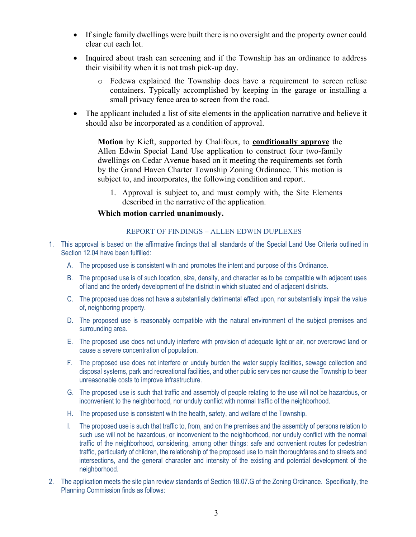- If single family dwellings were built there is no oversight and the property owner could clear cut each lot.
- Inquired about trash can screening and if the Township has an ordinance to address their visibility when it is not trash pick-up day.
	- o Fedewa explained the Township does have a requirement to screen refuse containers. Typically accomplished by keeping in the garage or installing a small privacy fence area to screen from the road.
- The applicant included a list of site elements in the application narrative and believe it should also be incorporated as a condition of approval.

**Motion** by Kieft, supported by Chalifoux, to **conditionally approve** the Allen Edwin Special Land Use application to construct four two-family dwellings on Cedar Avenue based on it meeting the requirements set forth by the Grand Haven Charter Township Zoning Ordinance. This motion is subject to, and incorporates, the following condition and report.

1. Approval is subject to, and must comply with, the Site Elements described in the narrative of the application.

#### **Which motion carried unanimously.**

#### REPORT OF FINDINGS – ALLEN EDWIN DUPLEXES

- 1. This approval is based on the affirmative findings that all standards of the Special Land Use Criteria outlined in Section 12.04 have been fulfilled:
	- A. The proposed use is consistent with and promotes the intent and purpose of this Ordinance.
	- B. The proposed use is of such location, size, density, and character as to be compatible with adjacent uses of land and the orderly development of the district in which situated and of adjacent districts.
	- C. The proposed use does not have a substantially detrimental effect upon, nor substantially impair the value of, neighboring property.
	- D. The proposed use is reasonably compatible with the natural environment of the subject premises and surrounding area.
	- E. The proposed use does not unduly interfere with provision of adequate light or air, nor overcrowd land or cause a severe concentration of population.
	- F. The proposed use does not interfere or unduly burden the water supply facilities, sewage collection and disposal systems, park and recreational facilities, and other public services nor cause the Township to bear unreasonable costs to improve infrastructure.
	- G. The proposed use is such that traffic and assembly of people relating to the use will not be hazardous, or inconvenient to the neighborhood, nor unduly conflict with normal traffic of the neighborhood.
	- H. The proposed use is consistent with the health, safety, and welfare of the Township.
	- I. The proposed use is such that traffic to, from, and on the premises and the assembly of persons relation to such use will not be hazardous, or inconvenient to the neighborhood, nor unduly conflict with the normal traffic of the neighborhood, considering, among other things: safe and convenient routes for pedestrian traffic, particularly of children, the relationship of the proposed use to main thoroughfares and to streets and intersections, and the general character and intensity of the existing and potential development of the neighborhood.
- 2. The application meets the site plan review standards of Section 18.07.G of the Zoning Ordinance. Specifically, the Planning Commission finds as follows: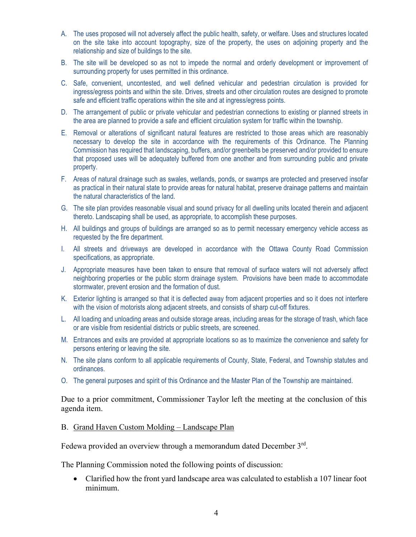- A. The uses proposed will not adversely affect the public health, safety, or welfare. Uses and structures located on the site take into account topography, size of the property, the uses on adjoining property and the relationship and size of buildings to the site.
- B. The site will be developed so as not to impede the normal and orderly development or improvement of surrounding property for uses permitted in this ordinance.
- C. Safe, convenient, uncontested, and well defined vehicular and pedestrian circulation is provided for ingress/egress points and within the site. Drives, streets and other circulation routes are designed to promote safe and efficient traffic operations within the site and at ingress/egress points.
- D. The arrangement of public or private vehicular and pedestrian connections to existing or planned streets in the area are planned to provide a safe and efficient circulation system for traffic within the township.
- E. Removal or alterations of significant natural features are restricted to those areas which are reasonably necessary to develop the site in accordance with the requirements of this Ordinance. The Planning Commission has required that landscaping, buffers, and/or greenbelts be preserved and/or provided to ensure that proposed uses will be adequately buffered from one another and from surrounding public and private property.
- F. Areas of natural drainage such as swales, wetlands, ponds, or swamps are protected and preserved insofar as practical in their natural state to provide areas for natural habitat, preserve drainage patterns and maintain the natural characteristics of the land.
- G. The site plan provides reasonable visual and sound privacy for all dwelling units located therein and adjacent thereto. Landscaping shall be used, as appropriate, to accomplish these purposes.
- H. All buildings and groups of buildings are arranged so as to permit necessary emergency vehicle access as requested by the fire department.
- I. All streets and driveways are developed in accordance with the Ottawa County Road Commission specifications, as appropriate.
- J. Appropriate measures have been taken to ensure that removal of surface waters will not adversely affect neighboring properties or the public storm drainage system. Provisions have been made to accommodate stormwater, prevent erosion and the formation of dust.
- K. Exterior lighting is arranged so that it is deflected away from adjacent properties and so it does not interfere with the vision of motorists along adjacent streets, and consists of sharp cut-off fixtures.
- L. All loading and unloading areas and outside storage areas, including areas for the storage of trash, which face or are visible from residential districts or public streets, are screened.
- M. Entrances and exits are provided at appropriate locations so as to maximize the convenience and safety for persons entering or leaving the site.
- N. The site plans conform to all applicable requirements of County, State, Federal, and Township statutes and ordinances.
- O. The general purposes and spirit of this Ordinance and the Master Plan of the Township are maintained.

Due to a prior commitment, Commissioner Taylor left the meeting at the conclusion of this agenda item.

B. Grand Haven Custom Molding – Landscape Plan

Fedewa provided an overview through a memorandum dated December 3<sup>rd</sup>.

The Planning Commission noted the following points of discussion:

• Clarified how the front yard landscape area was calculated to establish a 107 linear foot minimum.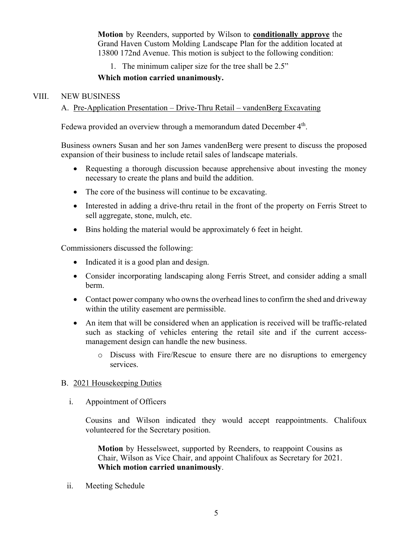**Motion** by Reenders, supported by Wilson to **conditionally approve** the Grand Haven Custom Molding Landscape Plan for the addition located at 13800 172nd Avenue. This motion is subject to the following condition:

1. The minimum caliper size for the tree shall be 2.5"

## **Which motion carried unanimously.**

### VIII. NEW BUSINESS

# A. Pre-Application Presentation – Drive-Thru Retail – vandenBerg Excavating

Fedewa provided an overview through a memorandum dated December 4<sup>th</sup>.

Business owners Susan and her son James vandenBerg were present to discuss the proposed expansion of their business to include retail sales of landscape materials.

- Requesting a thorough discussion because apprehensive about investing the money necessary to create the plans and build the addition.
- The core of the business will continue to be excavating.
- Interested in adding a drive-thru retail in the front of the property on Ferris Street to sell aggregate, stone, mulch, etc.
- Bins holding the material would be approximately 6 feet in height.

Commissioners discussed the following:

- Indicated it is a good plan and design.
- Consider incorporating landscaping along Ferris Street, and consider adding a small berm.
- Contact power company who owns the overhead lines to confirm the shed and driveway within the utility easement are permissible.
- An item that will be considered when an application is received will be traffic-related such as stacking of vehicles entering the retail site and if the current accessmanagement design can handle the new business.
	- o Discuss with Fire/Rescue to ensure there are no disruptions to emergency services.

## B. 2021 Housekeeping Duties

i. Appointment of Officers

Cousins and Wilson indicated they would accept reappointments. Chalifoux volunteered for the Secretary position.

**Motion** by Hesselsweet, supported by Reenders, to reappoint Cousins as Chair, Wilson as Vice Chair, and appoint Chalifoux as Secretary for 2021. **Which motion carried unanimously**.

ii. Meeting Schedule